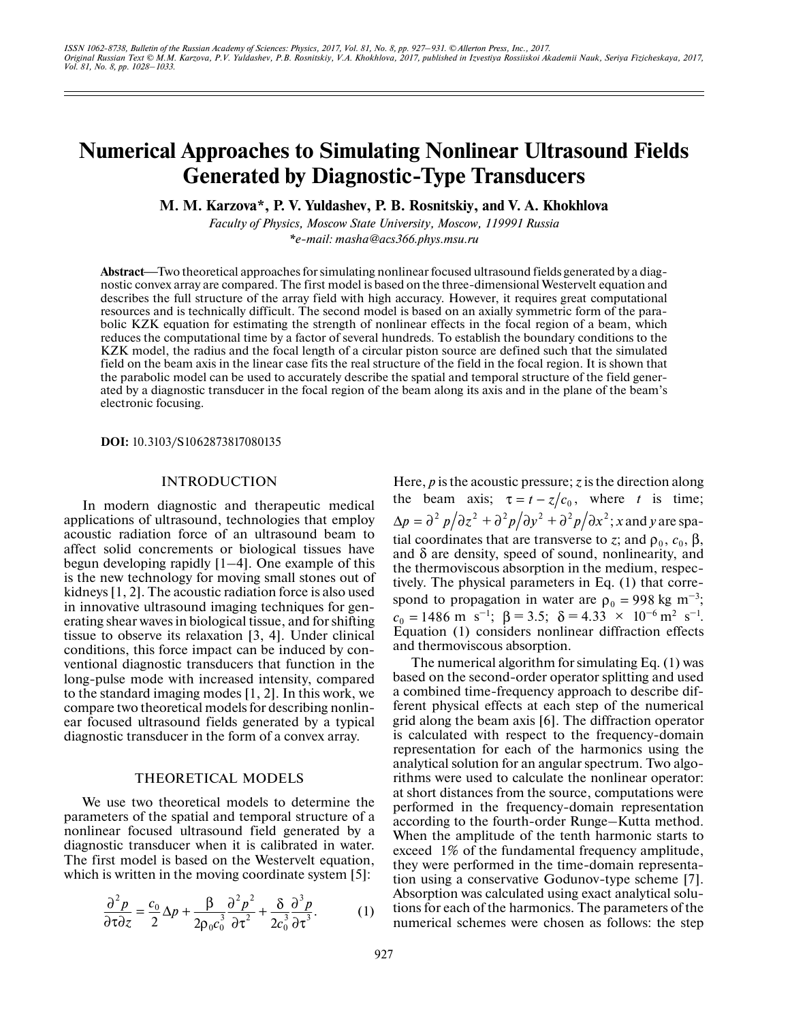# **Numerical Approaches to Simulating Nonlinear Ultrasound Fields Generated by Diagnostic-Type Transducers**

**M. M. Karzova\*, P. V. Yuldashev, P. B. Rosnitskiy, and V. A. Khokhlova**

*Faculty of Physics, Moscow State University, Moscow, 119991 Russia \*e-mail: masha@acs366.phys.msu.ru*

**Abstract—Two theoretical approaches for simulating nonlinear focused ultrasound fields generated by a diag**nostic convex array are compared. The first model is based on the three-dimensional Westervelt equation and describes the full structure of the array field with high accuracy. However, it requires great computational resources and is technically difficult. The second model is based on an axially symmetric form of the parabolic KZK equation for estimating the strength of nonlinear effects in the focal region of a beam, which reduces the computational time by a factor of several hundreds. To establish the boundary conditions to the KZK model, the radius and the focal length of a circular piston source are defined such that the simulated field on the beam axis in the linear case fits the real structure of the field in the focal region. It is shown that the parabolic model can be used to accurately describe the spatial and temporal structure of the field generated by a diagnostic transducer in the focal region of the beam along its axis and in the plane of the beam's electronic focusing.

**DOI:** 10.3103/S1062873817080135

## INTRODUCTION

In modern diagnostic and therapeutic medical applications of ultrasound, technologies that employ acoustic radiation force of an ultrasound beam to affect solid concrements or biological tissues have begun developing rapidly [1–4]. One example of this is the new technology for moving small stones out of kidneys [1, 2]. The acoustic radiation force is also used in innovative ultrasound imaging techniques for generating shear waves in biological tissue, and for shifting tissue to observe its relaxation [3, 4]. Under clinical conditions, this force impact can be induced by conventional diagnostic transducers that function in the long-pulse mode with increased intensity, compared to the standard imaging modes [1, 2]. In this work, we compare two theoretical models for describing nonlinear focused ultrasound fields generated by a typical diagnostic transducer in the form of a convex array.

### THEORETICAL MODELS

We use two theoretical models to determine the parameters of the spatial and temporal structure of a nonlinear focused ultrasound field generated by a diagnostic transducer when it is calibrated in water. The first model is based on the Westervelt equation, which is written in the moving coordinate system [5]:

$$
\frac{\partial^2 p}{\partial \tau \partial z} = \frac{c_0}{2} \Delta p + \frac{\beta}{2 \rho_0 c_0^3} \frac{\partial^2 p^2}{\partial \tau^2} + \frac{\delta}{2 c_0^3} \frac{\partial^3 p}{\partial \tau^3}.
$$
 (1)

Here, *p* is the acoustic pressure; *z* is the direction along the beam axis;  $\tau = t - z/c_0$ , where *t* is time;  $\Delta p = \partial^2 p / \partial z^2 + \partial^2 p / \partial y^2 + \partial^2 p / \partial x^2; x$  and y are spatial coordinates that are transverse to *z*; and  $ρ_0$ ,  $c_0$ ,  $β$ , and  $\delta$  are density, speed of sound, nonlinearity, and the thermoviscous absorption in the medium, respectively. The physical parameters in Eq. (1) that correspond to propagation in water are  $\rho_0 = 998 \text{ kg m}^{-3}$ ;  $c_0 = 1486 \text{ m s}^{-1}; \ \beta = 3.5; \ \delta = 4.33 \times 10^{-6} \text{ m}^2 \text{ s}^{-1}.$ Equation (1) considers nonlinear diffraction effects and thermoviscous absorption.

The numerical algorithm for simulating Eq. (1) was based on the second-order operator splitting and used a combined time-frequency approach to describe different physical effects at each step of the numerical grid along the beam axis [6]. The diffraction operator is calculated with respect to the frequency-domain representation for each of the harmonics using the analytical solution for an angular spectrum. Two algorithms were used to calculate the nonlinear operator: at short distances from the source, computations were performed in the frequency-domain representation according to the fourth-order Runge–Kutta method. When the amplitude of the tenth harmonic starts to exceed 1% of the fundamental frequency amplitude, they were performed in the time-domain representation using a conservative Godunov-type scheme [7]. Absorption was calculated using exact analytical solutions for each of the harmonics. The parameters of the numerical schemes were chosen as follows: the step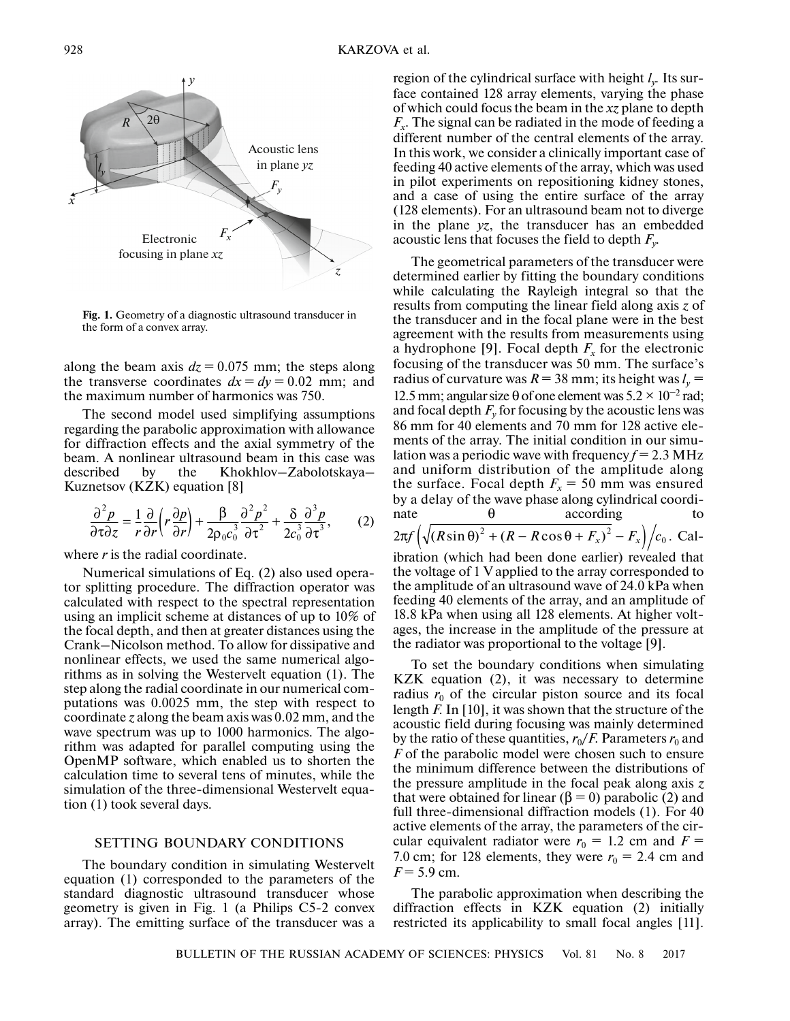

Fig. 1. Geometry of a diagnostic ultrasound transducer in the form of a convex array.

along the beam axis  $dz = 0.075$  mm; the steps along the transverse coordinates  $dx = dy = 0.02$  mm; and the maximum number of harmonics was 750.

The second model used simplifying assumptions regarding the parabolic approximation with allowance for diffraction effects and the axial symmetry of the beam. A nonlinear ultrasound beam in this case was described by the Khokhlov–Zabolotskaya– Kuznetsov (KZK) equation [8]

$$
\frac{\partial^2 p}{\partial \tau \partial z} = \frac{1}{r} \frac{\partial}{\partial r} \left( r \frac{\partial p}{\partial r} \right) + \frac{\beta}{2 \rho_0 c_0^3} \frac{\partial^2 p^2}{\partial \tau^2} + \frac{\delta}{2 c_0^3} \frac{\partial^3 p}{\partial \tau^3},\tag{2}
$$

where *r* is the radial coordinate.

Numerical simulations of Eq. (2) also used operator splitting procedure. The diffraction operator was calculated with respect to the spectral representation using an implicit scheme at distances of up to 10% of the focal depth, and then at greater distances using the Crank–Nicolson method. To allow for dissipative and nonlinear effects, we used the same numerical algorithms as in solving the Westervelt equation (1). The step along the radial coordinate in our numerical computations was 0.0025 mm, the step with respect to coordinate *z* along the beam axis was 0.02 mm, and the wave spectrum was up to 1000 harmonics. The algorithm was adapted for parallel computing using the OpenMP software, which enabled us to shorten the calculation time to several tens of minutes, while the simulation of the three-dimensional Westervelt equation (1) took several days.

## SETTING BOUNDARY CONDITIONS

The boundary condition in simulating Westervelt equation (1) corresponded to the parameters of the standard diagnostic ultrasound transducer whose geometry is given in Fig. 1 (a Philips C5-2 convex array). The emitting surface of the transducer was a region of the cylindrical surface with height *ly*. Its surface contained 128 array elements, varying the phase of which could focus the beam in the *xz* plane to depth  $F<sub>x</sub>$ . The signal can be radiated in the mode of feeding a different number of the central elements of the array. In this work, we consider a clinically important case of feeding 40 active elements of the array, which was used in pilot experiments on repositioning kidney stones, and a case of using the entire surface of the array (128 elements). For an ultrasound beam not to diverge in the plane *yz*, the transducer has an embedded acoustic lens that focuses the field to depth *Fy*.

The geometrical parameters of the transducer were determined earlier by fitting the boundary conditions while calculating the Rayleigh integral so that the results from computing the linear field along axis *z* of the transducer and in the focal plane were in the best agreement with the results from measurements using a hydrophone [9]. Focal depth  $F_x$  for the electronic focusing of the transducer was 50 mm. The surface's radius of curvature was  $R = 38$  mm; its height was  $l_v =$ 12.5 mm; angular size  $\theta$  of one element was  $5.2 \times 10^{-2}$  rad; and focal depth  $F_v$  for focusing by the acoustic lens was 86 mm for 40 elements and 70 mm for 128 active elements of the array. The initial condition in our simulation was a periodic wave with frequency  $f = 2.3 \text{ MHz}$ and uniform distribution of the amplitude along the surface. Focal depth  $F_x = 50$  mm was ensured by a delay of the wave phase along cylindrical coordinate  $\theta$  according to  $2\pi f \left( \sqrt{\left(R \sin \theta\right)^2 + \left(R - R \cos \theta + F_x\right)^2 - F_x} \right) / c_0$ . Calibration (which had been done earlier) revealed that the voltage of 1 V applied to the array corresponded to the amplitude of an ultrasound wave of 24.0 kPa when feeding 40 elements of the array, and an amplitude of 18.8 kPa when using all 128 elements. At higher volt-

To set the boundary conditions when simulating KZK equation (2), it was necessary to determine radius  $r_0$  of the circular piston source and its focal length *F*. In [10], it was shown that the structure of the acoustic field during focusing was mainly determined by the ratio of these quantities,  $r_0/F$ . Parameters  $r_0$  and *F* of the parabolic model were chosen such to ensure the minimum difference between the distributions of the pressure amplitude in the focal peak along axis *z* that were obtained for linear (β = 0) parabolic (2) and full three-dimensional diffraction models (1). For 40 active elements of the array, the parameters of the circular equivalent radiator were  $r_0 = 1.2$  cm and  $F =$ 7.0 cm; for 128 elements, they were  $r_0 = 2.4$  cm and  $F = 5.9$  cm.

ages, the increase in the amplitude of the pressure at the radiator was proportional to the voltage [9].

The parabolic approximation when describing the diffraction effects in KZK equation (2) initially restricted its applicability to small focal angles [11].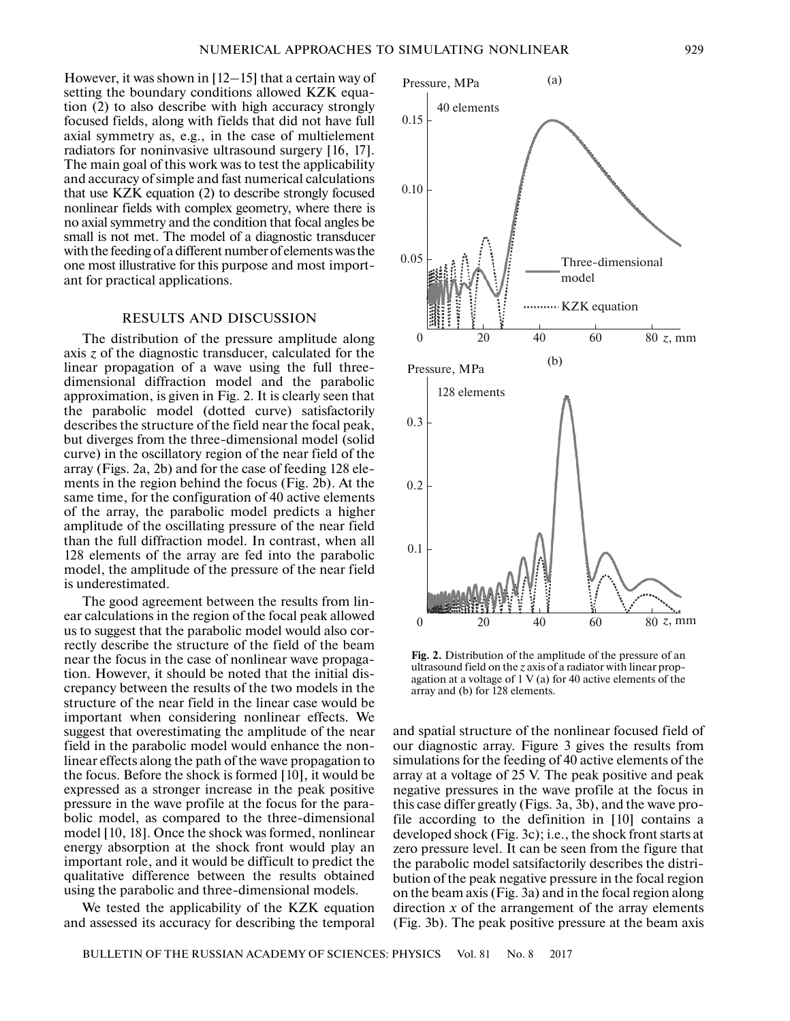0.15

40 elements

Pressure, MPa

However, it was shown in [12–15] that a certain way of setting the boundary conditions allowed KZK equation (2) to also describe with high accuracy strongly focused fields, along with fields that did not have full axial symmetry as, e.g., in the case of multielement radiators for noninvasive ultrasound surgery [16, 17]. The main goal of this work was to test the applicability and accuracy of simple and fast numerical calculations that use KZK equation (2) to describe strongly focused nonlinear fields with complex geometry, where there is no axial symmetry and the condition that focal angles be small is not met. The model of a diagnostic transducer with the feeding of a different number of elements was the one most illustrative for this purpose and most important for practical applications.

# RESULTS AND DISCUSSION

The distribution of the pressure amplitude along axis *z* of the diagnostic transducer, calculated for the linear propagation of a wave using the full threedimensional diffraction model and the parabolic approximation, is given in Fig. 2. It is clearly seen that the parabolic model (dotted curve) satisfactorily describes the structure of the field near the focal peak, but diverges from the three-dimensional model (solid curve) in the oscillatory region of the near field of the array (Figs. 2a, 2b) and for the case of feeding 128 elements in the region behind the focus (Fig. 2b). At the same time, for the configuration of 40 active elements of the array, the parabolic model predicts a higher amplitude of the oscillating pressure of the near field than the full diffraction model. In contrast, when all 128 elements of the array are fed into the parabolic model, the amplitude of the pressure of the near field is underestimated.

The good agreement between the results from linear calculations in the region of the focal peak allowed us to suggest that the parabolic model would also correctly describe the structure of the field of the beam near the focus in the case of nonlinear wave propagation. However, it should be noted that the initial discrepancy between the results of the two models in the structure of the near field in the linear case would be important when considering nonlinear effects. We suggest that overestimating the amplitude of the near field in the parabolic model would enhance the nonlinear effects along the path of the wave propagation to the focus. Before the shock is formed [10], it would be expressed as a stronger increase in the peak positive pressure in the wave profile at the focus for the parabolic model, as compared to the three-dimensional model [10, 18]. Once the shock was formed, nonlinear energy absorption at the shock front would play an important role, and it would be difficult to predict the qualitative difference between the results obtained using the parabolic and three-dimensional models.

We tested the applicability of the KZK equation and assessed its accuracy for describing the temporal **Fig. 2.** Distribution of the amplitude of the pressure of an ultrasound field on the *z* axis of a radiator with linear propagation at a voltage of 1 V (a) for 40 active elements of the array and (b) for 128 elements.

and spatial structure of the nonlinear focused field of our diagnostic array. Figure 3 gives the results from simulations for the feeding of 40 active elements of the array at a voltage of 25 V. The peak positive and peak negative pressures in the wave profile at the focus in this case differ greatly (Figs. 3a, 3b), and the wave profile according to the definition in [10] contains a developed shock (Fig. 3c); i.e., the shock front starts at zero pressure level. It can be seen from the figure that the parabolic model satsifactorily describes the distribution of the peak negative pressure in the focal region on the beam axis (Fig. 3a) and in the focal region along direction *x* of the arrangement of the array elements (Fig. 3b). The peak positive pressure at the beam axis



(a)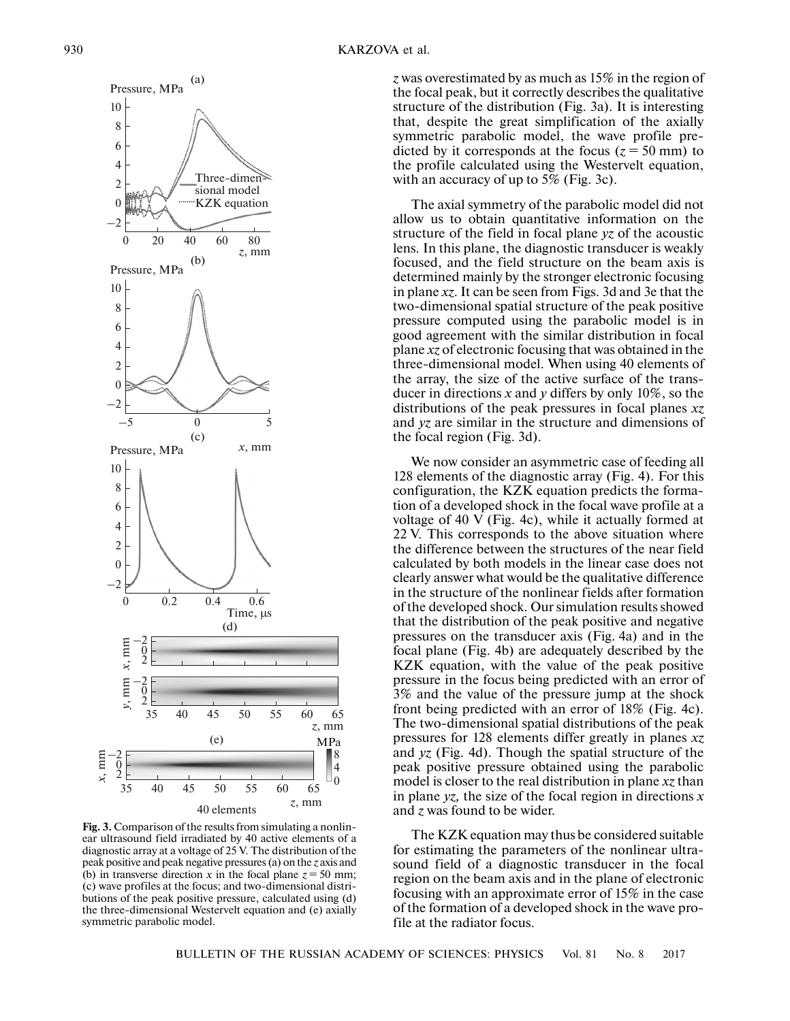

**Fig. 3.** Comparison of the results from simulating a nonlinear ultrasound field irradiated by 40 active elements of a diagnostic array at a voltage of 25 V. The distribution of the peak positive and peak negative pressures (a) on the *z* axis and (b) in transverse direction *x* in the focal plane  $z = 50$  mm; (c) wave profiles at the focus; and two-dimensional distributions of the peak positive pressure, calculated using (d) the three-dimensional Westervelt equation and (e) axially symmetric parabolic model.

8 4

*z* was overestimated by as much as 15% in the region of the focal peak, but it correctly describes the qualitative structure of the distribution (Fig. 3a). It is interesting that, despite the great simplification of the axially symmetric parabolic model, the wave profile predicted by it corresponds at the focus  $(z = 50 \text{ mm})$  to the profile calculated using the Westervelt equation, with an accuracy of up to 5% (Fig. 3c).

The axial symmetry of the parabolic model did not allow us to obtain quantitative information on the structure of the field in focal plane *yz* of the acoustic lens. In this plane, the diagnostic transducer is weakly focused, and the field structure on the beam axis is determined mainly by the stronger electronic focusing in plane *xz*. It can be seen from Figs. 3d and 3e that the two-dimensional spatial structure of the peak positive pressure computed using the parabolic model is in good agreement with the similar distribution in focal plane *xz* of electronic focusing that was obtained in the three-dimensional model. When using 40 elements of the array, the size of the active surface of the transducer in directions *x* and *y* differs by only 10%, so the distributions of the peak pressures in focal planes *xz* and *yz* are similar in the structure and dimensions of the focal region (Fig. 3d).

We now consider an asymmetric case of feeding all 128 elements of the diagnostic array (Fig. 4). For this configuration, the KZK equation predicts the formation of a developed shock in the focal wave profile at a voltage of 40 V (Fig. 4c), while it actually formed at 22 V. This corresponds to the above situation where the difference between the structures of the near field calculated by both models in the linear case does not clearly answer what would be the qualitative difference in the structure of the nonlinear fields after formation of the developed shock. Our simulation results showed that the distribution of the peak positive and negative pressures on the transducer axis (Fig. 4a) and in the focal plane (Fig. 4b) are adequately described by the KZK equation, with the value of the peak positive pressure in the focus being predicted with an error of 3% and the value of the pressure jump at the shock front being predicted with an error of 18% (Fig. 4c). The two-dimensional spatial distributions of the peak pressures for 128 elements differ greatly in planes *xz* and *yz* (Fig. 4d). Though the spatial structure of the peak positive pressure obtained using the parabolic model is closer to the real distribution in plane *xz* than in plane *yz,* the size of the focal region in directions *x* and *z* was found to be wider*.*

The KZK equation may thus be considered suitable for estimating the parameters of the nonlinear ultrasound field of a diagnostic transducer in the focal region on the beam axis and in the plane of electronic focusing with an approximate error of 15% in the case of the formation of a developed shock in the wave profile at the radiator focus.